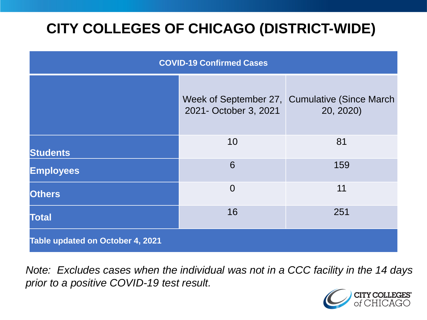# **CITY COLLEGES OF CHICAGO (DISTRICT-WIDE)**

| <b>COVID-19 Confirmed Cases</b>  |                       |                                                             |
|----------------------------------|-----------------------|-------------------------------------------------------------|
|                                  | 2021- October 3, 2021 | Week of September 27, Cumulative (Since March)<br>20, 2020) |
| <b>Students</b>                  | 10                    | 81                                                          |
| <b>Employees</b>                 | 6                     | 159                                                         |
| <b>Others</b>                    | $\overline{0}$        | 11                                                          |
| <b>Total</b>                     | 16                    | 251                                                         |
| Table updated on October 4, 2021 |                       |                                                             |

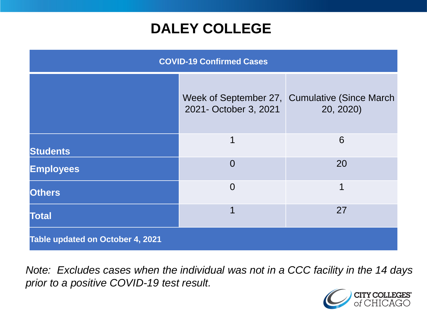### **DALEY COLLEGE**

| <b>COVID-19 Confirmed Cases</b>  |                       |                                                             |
|----------------------------------|-----------------------|-------------------------------------------------------------|
|                                  | 2021- October 3, 2021 | Week of September 27, Cumulative (Since March)<br>20, 2020) |
| <b>Students</b>                  | 1                     | 6                                                           |
| <b>Employees</b>                 | $\Omega$              | 20                                                          |
| <b>Others</b>                    | $\overline{0}$        | 1                                                           |
| <b>Total</b>                     |                       | 27                                                          |
| Table updated on October 4, 2021 |                       |                                                             |

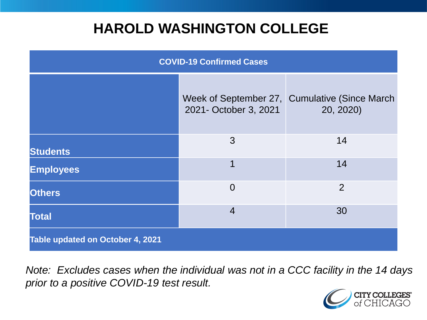### **HAROLD WASHINGTON COLLEGE**

| <b>COVID-19 Confirmed Cases</b>  |                       |                                                             |
|----------------------------------|-----------------------|-------------------------------------------------------------|
|                                  | 2021- October 3, 2021 | Week of September 27, Cumulative (Since March)<br>20, 2020) |
| <b>Students</b>                  | 3                     | 14                                                          |
| <b>Employees</b>                 | 1                     | 14                                                          |
| <b>Others</b>                    | $\Omega$              | $\overline{2}$                                              |
| <b>Total</b>                     | $\overline{4}$        | 30                                                          |
| Table updated on October 4, 2021 |                       |                                                             |

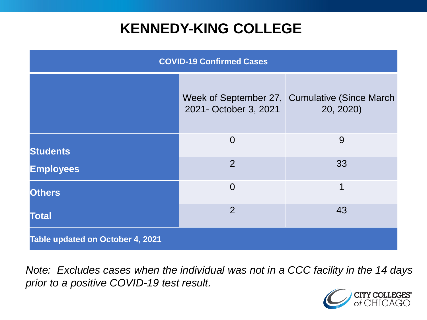### **KENNEDY-KING COLLEGE**

| <b>COVID-19 Confirmed Cases</b>  |                       |                                                             |
|----------------------------------|-----------------------|-------------------------------------------------------------|
|                                  | 2021- October 3, 2021 | Week of September 27, Cumulative (Since March)<br>20, 2020) |
| <b>Students</b>                  | $\overline{0}$        | 9                                                           |
| <b>Employees</b>                 | 2                     | 33                                                          |
| <b>Others</b>                    | $\overline{0}$        | 1                                                           |
| <b>Total</b>                     | $\overline{2}$        | 43                                                          |
| Table updated on October 4, 2021 |                       |                                                             |

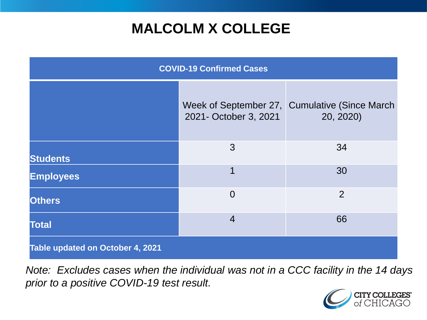## **MALCOLM X COLLEGE**

| <b>COVID-19 Confirmed Cases</b>  |                       |                                                             |
|----------------------------------|-----------------------|-------------------------------------------------------------|
|                                  | 2021- October 3, 2021 | Week of September 27, Cumulative (Since March)<br>20, 2020) |
| <b>Students</b>                  | 3                     | 34                                                          |
| <b>Employees</b>                 | 1                     | 30                                                          |
| <b>Others</b>                    | $\overline{0}$        | 2                                                           |
| <b>Total</b>                     | $\overline{4}$        | 66                                                          |
| Table updated on October 4, 2021 |                       |                                                             |

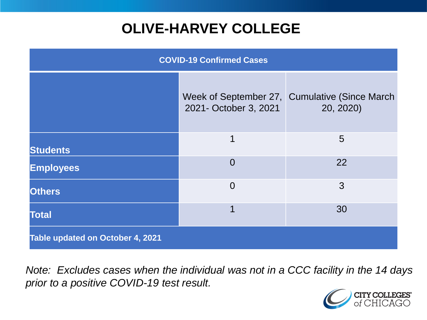# **OLIVE-HARVEY COLLEGE**

| <b>COVID-19 Confirmed Cases</b>  |                       |                                                             |
|----------------------------------|-----------------------|-------------------------------------------------------------|
|                                  | 2021- October 3, 2021 | Week of September 27, Cumulative (Since March)<br>20, 2020) |
| <b>Students</b>                  | 1                     | 5                                                           |
| <b>Employees</b>                 | $\Omega$              | 22                                                          |
| <b>Others</b>                    | $\overline{0}$        | 3                                                           |
| <b>Total</b>                     | 1                     | 30                                                          |
| Table updated on October 4, 2021 |                       |                                                             |

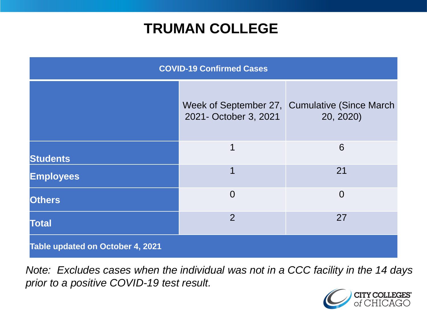### **TRUMAN COLLEGE**

| <b>COVID-19 Confirmed Cases</b>  |                       |                                                             |
|----------------------------------|-----------------------|-------------------------------------------------------------|
|                                  | 2021- October 3, 2021 | Week of September 27, Cumulative (Since March)<br>20, 2020) |
| <b>Students</b>                  | 1                     | 6                                                           |
| <b>Employees</b>                 |                       | 21                                                          |
| <b>Others</b>                    | $\overline{0}$        | $\Omega$                                                    |
| <b>Total</b>                     | $\overline{2}$        | 27                                                          |
| Table updated on October 4, 2021 |                       |                                                             |

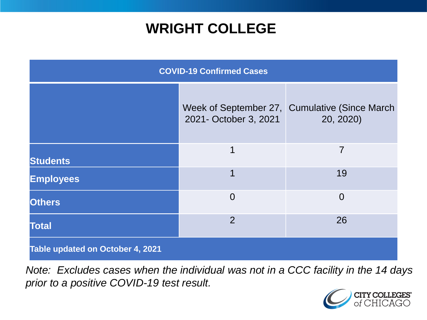### **WRIGHT COLLEGE**

| <b>COVID-19 Confirmed Cases</b>  |                       |                                                             |
|----------------------------------|-----------------------|-------------------------------------------------------------|
|                                  | 2021- October 3, 2021 | Week of September 27, Cumulative (Since March)<br>20, 2020) |
| <b>Students</b>                  | 1                     | $\overline{7}$                                              |
| <b>Employees</b>                 | 1                     | 19                                                          |
| <b>Others</b>                    | $\overline{0}$        | $\overline{0}$                                              |
| <b>Total</b>                     | $\overline{2}$        | 26                                                          |
| Table updated on October 4, 2021 |                       |                                                             |